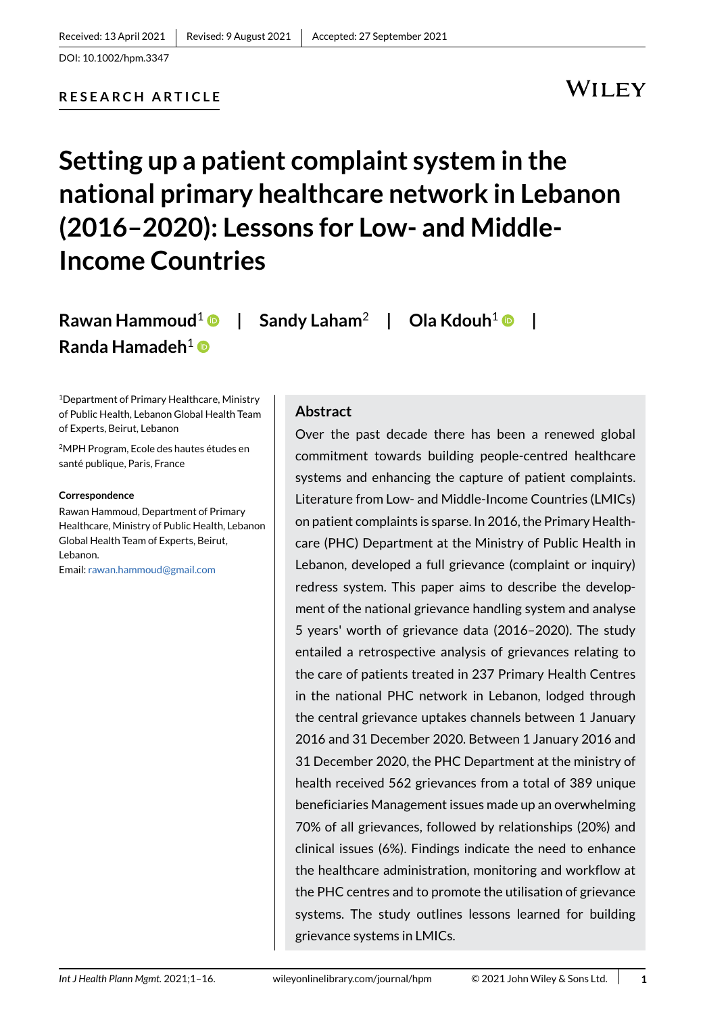# **RESEARCH ARTICLE**

# WILEY

# **Setting up a patient complaint system in the national primary healthcare network in Lebanon (2016–2020): Lessons for Low- and Middle-Income Countries**

**Rawan Hammoud**[1](https://orcid.org/0000-0002-8523-7757) **| Sandy Laham**<sup>2</sup> **| Ola Kdouh**<sup>1</sup> **| Randa Hamadeh**<sup>1</sup>

1Department of Primary Healthcare, Ministry of Public Health, Lebanon Global Health Team of Experts, Beirut, Lebanon

2MPH Program, Ecole des hautes études en santé publique, Paris, France

#### **Correspondence**

Rawan Hammoud, Department of Primary Healthcare, Ministry of Public Health, Lebanon Global Health Team of Experts, Beirut, Lebanon. Email: rawan.hammoud@gmail.com

#### **Abstract**

Over the past decade there has been a renewed global commitment towards building people-centred healthcare systems and enhancing the capture of patient complaints. Literature from Low- and Middle-Income Countries (LMICs) on patient complaints is sparse. In 2016, the Primary Healthcare (PHC) Department at the Ministry of Public Health in Lebanon, developed a full grievance (complaint or inquiry) redress system. This paper aims to describe the development of the national grievance handling system and analyse 5 years' worth of grievance data (2016–2020). The study entailed a retrospective analysis of grievances relating to the care of patients treated in 237 Primary Health Centres in the national PHC network in Lebanon, lodged through the central grievance uptakes channels between 1 January 2016 and 31 December 2020. Between 1 January 2016 and 31 December 2020, the PHC Department at the ministry of health received 562 grievances from a total of 389 unique beneficiaries Management issues made up an overwhelming 70% of all grievances, followed by relationships (20%) and clinical issues (6%). Findings indicate the need to enhance the healthcare administration, monitoring and workflow at the PHC centres and to promote the utilisation of grievance systems. The study outlines lessons learned for building grievance systems in LMICs.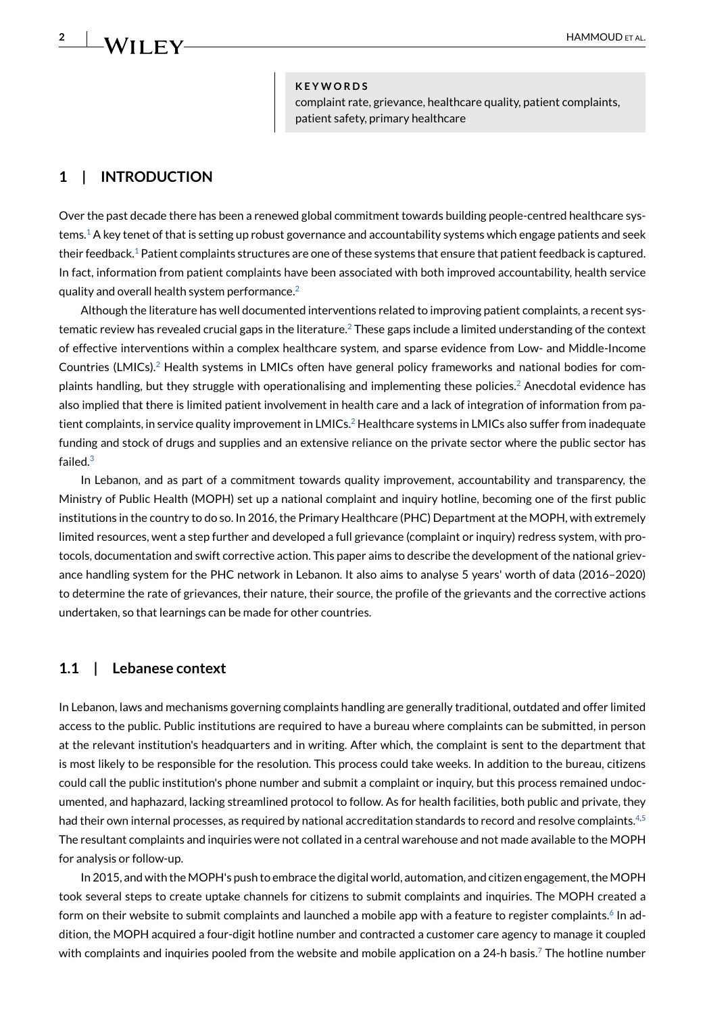#### **KEYWORDS**

complaint rate, grievance, healthcare quality, patient complaints, patient safety, primary healthcare

# **1 | INTRODUCTION**

Over the past decade there has been a renewed global commitment towards building people-centred healthcare sys $t$ ems.<sup>1</sup> A key tenet of that is setting up robust governance and accountability systems which engage patients and seek their feedback.<sup>1</sup> Patient complaints structures are one of these systems that ensure that patient feedback is captured. In fact, information from patient complaints have been associated with both improved accountability, health service quality and overall health system performance.[2](#page-14-1)

Although the literature has well documented interventions related to improving patient complaints, a recent systematic review has revealed crucial gaps in the literature.<sup>2</sup> These gaps include a limited understanding of the context of effective interventions within a complex healthcare system, and sparse evidence from Low- and Middle-Income Countries (LMICs)[.2](#page-14-1) Health systems in LMICs often have general policy frameworks and national bodies for complaints handling, but they struggle with operationalising and implementing these policies.<sup>2</sup> Anecdotal evidence has also implied that there is limited patient involvement in health care and a lack of integration of information from patient complaints, in service quality improvement in LMICs.<sup>2</sup> Healthcare systems in LMICs also suffer from inadequate funding and stock of drugs and supplies and an extensive reliance on the private sector where the public sector has failed.<sup>[3](#page-14-2)</sup>

In Lebanon, and as part of a commitment towards quality improvement, accountability and transparency, the Ministry of Public Health (MOPH) set up a national complaint and inquiry hotline, becoming one of the first public institutions in the country to do so. In 2016, the Primary Healthcare (PHC) Department at the MOPH, with extremely limited resources, went a step further and developed a full grievance (complaint or inquiry) redress system, with protocols, documentation and swift corrective action. This paper aims to describe the development of the national grievance handling system for the PHC network in Lebanon. It also aims to analyse 5 years' worth of data (2016–2020) to determine the rate of grievances, their nature, their source, the profile of the grievants and the corrective actions undertaken, so that learnings can be made for other countries.

#### **1.1 | Lebanese context**

In Lebanon, laws and mechanisms governing complaints handling are generally traditional, outdated and offer limited access to the public. Public institutions are required to have a bureau where complaints can be submitted, in person at the relevant institution's headquarters and in writing. After which, the complaint is sent to the department that is most likely to be responsible for the resolution. This process could take weeks. In addition to the bureau, citizens could call the public institution's phone number and submit a complaint or inquiry, but this process remained undocumented, and haphazard, lacking streamlined protocol to follow. As for health facilities, both public and private, they had their own internal processes, as required by national accreditation standards to record and resolve complaints.<sup>4[,5](#page-14-4)</sup> The resultant complaints and inquiries were not collated in a central warehouse and not made available to the MOPH for analysis or follow-up.

In 2015, and with the MOPH's push to embrace the digital world, automation, and citizen engagement, the MOPH took several steps to create uptake channels for citizens to submit complaints and inquiries. The MOPH created a form on their website to submit complaints and launched a mobile app with a feature to register complaints.<sup>6</sup> In addition, the MOPH acquired a four-digit hotline number and contracted a customer care agency to manage it coupled with complaints and inquiries pooled from the website and mobile application on a 24-h basis.<sup>7</sup> The hotline number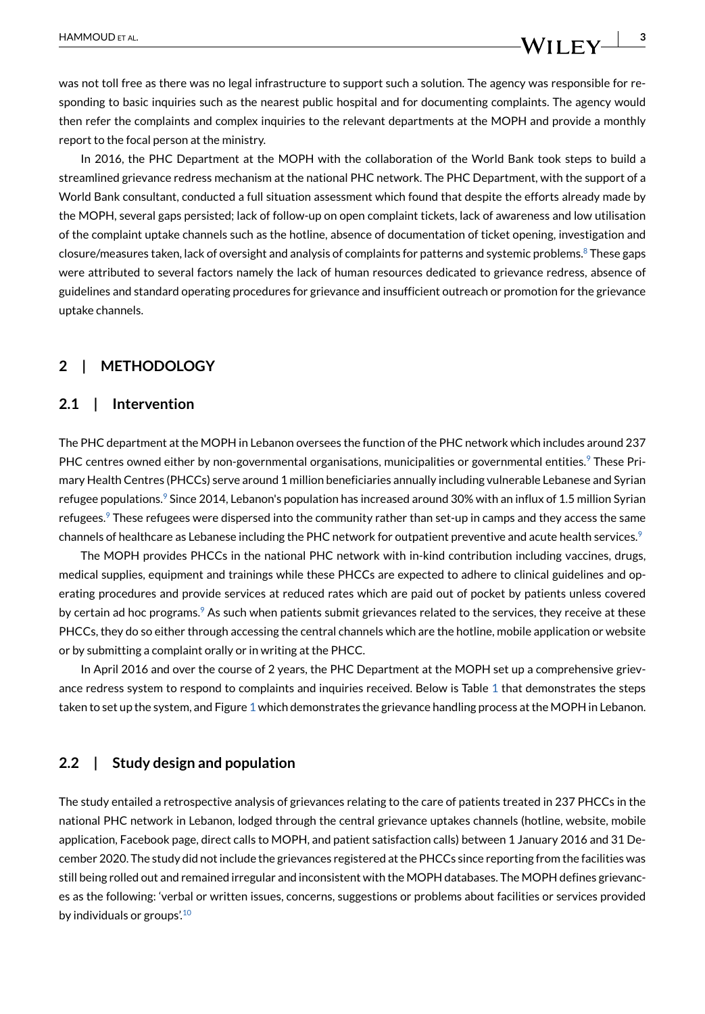was not toll free as there was no legal infrastructure to support such a solution. The agency was responsible for responding to basic inquiries such as the nearest public hospital and for documenting complaints. The agency would then refer the complaints and complex inquiries to the relevant departments at the MOPH and provide a monthly report to the focal person at the ministry.

In 2016, the PHC Department at the MOPH with the collaboration of the World Bank took steps to build a streamlined grievance redress mechanism at the national PHC network. The PHC Department, with the support of a World Bank consultant, conducted a full situation assessment which found that despite the efforts already made by the MOPH, several gaps persisted; lack of follow-up on open complaint tickets, lack of awareness and low utilisation of the complaint uptake channels such as the hotline, absence of documentation of ticket opening, investigation and closure/measures taken, lack of oversight and analysis of complaints for patterns and systemic problems.<sup>8</sup> These gaps were attributed to several factors namely the lack of human resources dedicated to grievance redress, absence of guidelines and standard operating procedures for grievance and insufficient outreach or promotion for the grievance uptake channels.

# **2 | METHODOLOGY**

#### **2.1 | Intervention**

The PHC department at the MOPH in Lebanon oversees the function of the PHC network which includes around 237 PHC centres owned either by non-governmental organisations, municipalities or governmental entities.<sup>9</sup> These Primary Health Centres (PHCCs) serve around 1 million beneficiaries annually including vulnerable Lebanese and Syrian refugee populations.<sup>9</sup> Since 2014, Lebanon's population has increased around 30% with an influx of 1.5 million Syrian refugees.<sup>9</sup> These refugees were dispersed into the community rather than set-up in camps and they access the same channels of healthcare as Lebanese including the PHC network for outpatient preventive and acute health services.<sup>[9](#page-14-8)</sup>

The MOPH provides PHCCs in the national PHC network with in-kind contribution including vaccines, drugs, medical supplies, equipment and trainings while these PHCCs are expected to adhere to clinical guidelines and operating procedures and provide services at reduced rates which are paid out of pocket by patients unless covered by certain ad hoc programs.<sup>9</sup> As such when patients submit grievances related to the services, they receive at these PHCCs, they do so either through accessing the central channels which are the hotline, mobile application or website or by submitting a complaint orally or in writing at the PHCC.

In April 2016 and over the course of 2 years, the PHC Department at the MOPH set up a comprehensive griev-ance redress system to respond to complaints and inquiries received. Below is Table [1](#page-3-0) that demonstrates the steps taken to set up the system, and Figure [1](#page-6-0) which demonstrates the grievance handling process at the MOPH in Lebanon.

#### **2.2 | Study design and population**

The study entailed a retrospective analysis of grievances relating to the care of patients treated in 237 PHCCs in the national PHC network in Lebanon, lodged through the central grievance uptakes channels (hotline, website, mobile application, Facebook page, direct calls to MOPH, and patient satisfaction calls) between 1 January 2016 and 31 December 2020. The study did not include the grievances registered at the PHCCs since reporting from the facilities was still being rolled out and remained irregular and inconsistent with the MOPH databases. The MOPH defines grievances as the following: 'verbal or written issues, concerns, suggestions or problems about facilities or services provided by individuals or groups'.<sup>[10](#page-14-9)</sup>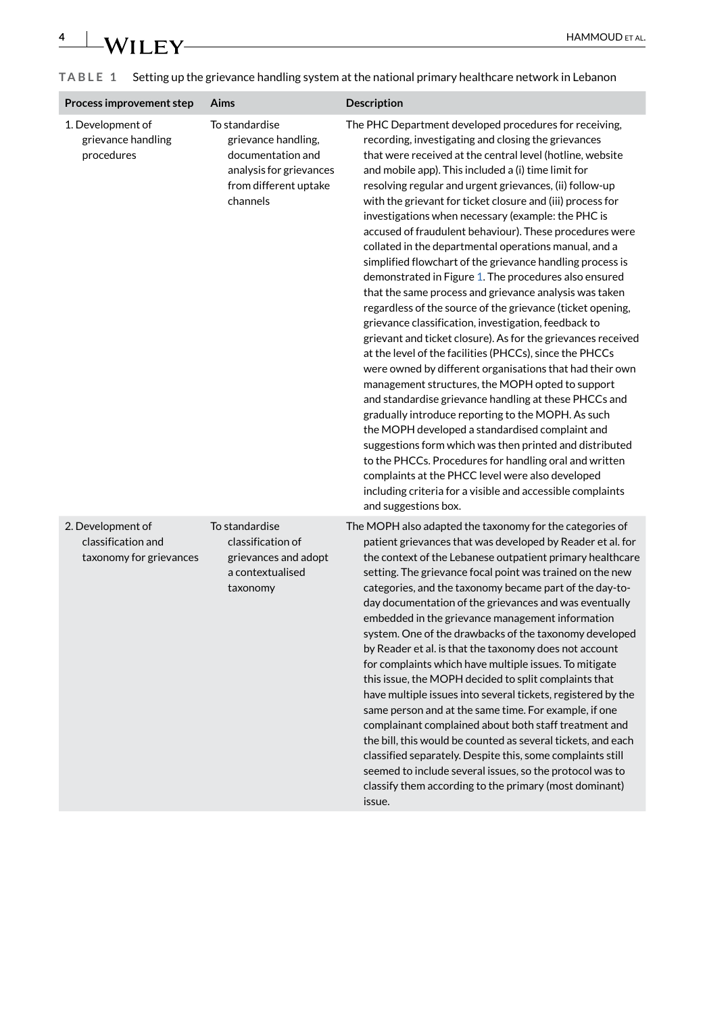| Process improvement step                                           | Aims                                                                                                                       | <b>Description</b>                                                                                                                                                                                                                                                                                                                                                                                                                                                                                                                                                                                                                                                                                                                                                                                                                                                                                                                                                                                                                                                                                                                                                                                                                                                                                                                                                                                                                                                                                                     |
|--------------------------------------------------------------------|----------------------------------------------------------------------------------------------------------------------------|------------------------------------------------------------------------------------------------------------------------------------------------------------------------------------------------------------------------------------------------------------------------------------------------------------------------------------------------------------------------------------------------------------------------------------------------------------------------------------------------------------------------------------------------------------------------------------------------------------------------------------------------------------------------------------------------------------------------------------------------------------------------------------------------------------------------------------------------------------------------------------------------------------------------------------------------------------------------------------------------------------------------------------------------------------------------------------------------------------------------------------------------------------------------------------------------------------------------------------------------------------------------------------------------------------------------------------------------------------------------------------------------------------------------------------------------------------------------------------------------------------------------|
| 1. Development of<br>grievance handling<br>procedures              | To standardise<br>grievance handling,<br>documentation and<br>analysis for grievances<br>from different uptake<br>channels | The PHC Department developed procedures for receiving,<br>recording, investigating and closing the grievances<br>that were received at the central level (hotline, website<br>and mobile app). This included a (i) time limit for<br>resolving regular and urgent grievances, (ii) follow-up<br>with the grievant for ticket closure and (iii) process for<br>investigations when necessary (example: the PHC is<br>accused of fraudulent behaviour). These procedures were<br>collated in the departmental operations manual, and a<br>simplified flowchart of the grievance handling process is<br>demonstrated in Figure 1. The procedures also ensured<br>that the same process and grievance analysis was taken<br>regardless of the source of the grievance (ticket opening,<br>grievance classification, investigation, feedback to<br>grievant and ticket closure). As for the grievances received<br>at the level of the facilities (PHCCs), since the PHCCs<br>were owned by different organisations that had their own<br>management structures, the MOPH opted to support<br>and standardise grievance handling at these PHCCs and<br>gradually introduce reporting to the MOPH. As such<br>the MOPH developed a standardised complaint and<br>suggestions form which was then printed and distributed<br>to the PHCCs. Procedures for handling oral and written<br>complaints at the PHCC level were also developed<br>including criteria for a visible and accessible complaints<br>and suggestions box. |
| 2. Development of<br>classification and<br>taxonomy for grievances | To standardise<br>classification of<br>grievances and adopt<br>a contextualised<br>taxonomy                                | The MOPH also adapted the taxonomy for the categories of<br>patient grievances that was developed by Reader et al. for<br>the context of the Lebanese outpatient primary healthcare<br>setting. The grievance focal point was trained on the new<br>categories, and the taxonomy became part of the day-to-<br>day documentation of the grievances and was eventually<br>embedded in the grievance management information<br>system. One of the drawbacks of the taxonomy developed<br>by Reader et al. is that the taxonomy does not account<br>for complaints which have multiple issues. To mitigate<br>this issue, the MOPH decided to split complaints that<br>have multiple issues into several tickets, registered by the<br>same person and at the same time. For example, if one                                                                                                                                                                                                                                                                                                                                                                                                                                                                                                                                                                                                                                                                                                                              |

issue.

complainant complained about both staff treatment and the bill, this would be counted as several tickets, and each classified separately. Despite this, some complaints still seemed to include several issues, so the protocol was to classify them according to the primary (most dominant)

<span id="page-3-0"></span>**TABLE 1** Setting up the grievance handling system at the national primary healthcare network in Lebanon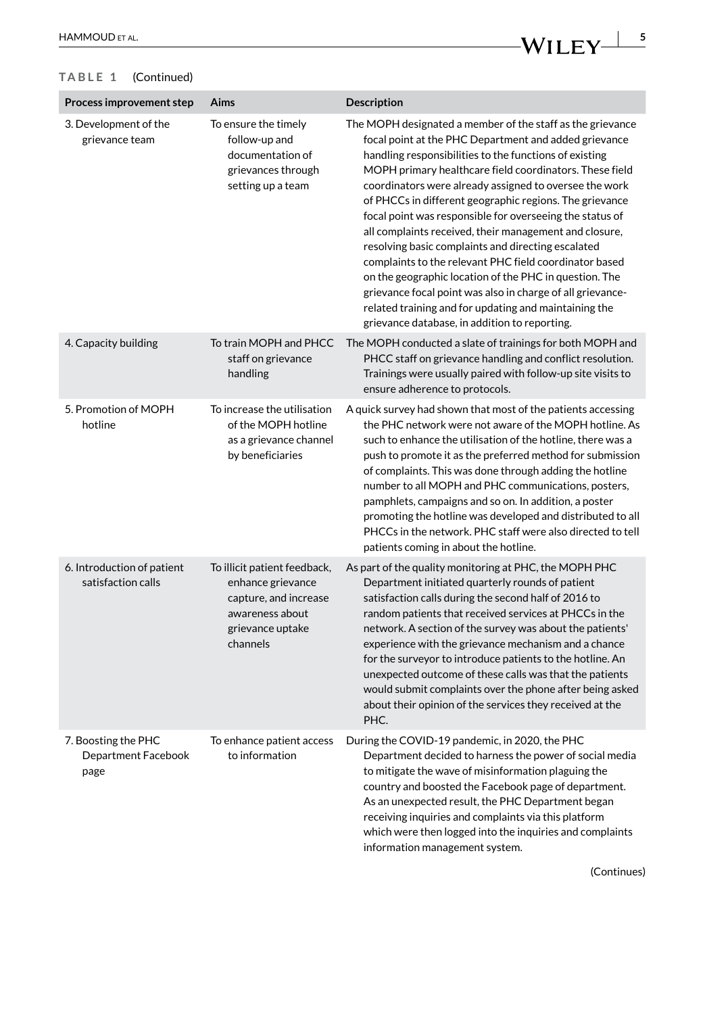×

# **TABLE 1** (Continued)

| Process improvement step                           | Aims                                                                                                                          | Description                                                                                                                                                                                                                                                                                                                                                                                                                                                                                                                                                                                                                                                                                                                                                                                                                           |
|----------------------------------------------------|-------------------------------------------------------------------------------------------------------------------------------|---------------------------------------------------------------------------------------------------------------------------------------------------------------------------------------------------------------------------------------------------------------------------------------------------------------------------------------------------------------------------------------------------------------------------------------------------------------------------------------------------------------------------------------------------------------------------------------------------------------------------------------------------------------------------------------------------------------------------------------------------------------------------------------------------------------------------------------|
| 3. Development of the<br>grievance team            | To ensure the timely<br>follow-up and<br>documentation of<br>grievances through<br>setting up a team                          | The MOPH designated a member of the staff as the grievance<br>focal point at the PHC Department and added grievance<br>handling responsibilities to the functions of existing<br>MOPH primary healthcare field coordinators. These field<br>coordinators were already assigned to oversee the work<br>of PHCCs in different geographic regions. The grievance<br>focal point was responsible for overseeing the status of<br>all complaints received, their management and closure,<br>resolving basic complaints and directing escalated<br>complaints to the relevant PHC field coordinator based<br>on the geographic location of the PHC in question. The<br>grievance focal point was also in charge of all grievance-<br>related training and for updating and maintaining the<br>grievance database, in addition to reporting. |
| 4. Capacity building                               | To train MOPH and PHCC<br>staff on grievance<br>handling                                                                      | The MOPH conducted a slate of trainings for both MOPH and<br>PHCC staff on grievance handling and conflict resolution.<br>Trainings were usually paired with follow-up site visits to<br>ensure adherence to protocols.                                                                                                                                                                                                                                                                                                                                                                                                                                                                                                                                                                                                               |
| 5. Promotion of MOPH<br>hotline                    | To increase the utilisation<br>of the MOPH hotline<br>as a grievance channel<br>by beneficiaries                              | A quick survey had shown that most of the patients accessing<br>the PHC network were not aware of the MOPH hotline. As<br>such to enhance the utilisation of the hotline, there was a<br>push to promote it as the preferred method for submission<br>of complaints. This was done through adding the hotline<br>number to all MOPH and PHC communications, posters,<br>pamphlets, campaigns and so on. In addition, a poster<br>promoting the hotline was developed and distributed to all<br>PHCCs in the network. PHC staff were also directed to tell<br>patients coming in about the hotline.                                                                                                                                                                                                                                    |
| 6. Introduction of patient<br>satisfaction calls   | To illicit patient feedback,<br>enhance grievance<br>capture, and increase<br>awareness about<br>grievance uptake<br>channels | As part of the quality monitoring at PHC, the MOPH PHC<br>Department initiated quarterly rounds of patient<br>satisfaction calls during the second half of 2016 to<br>random patients that received services at PHCCs in the<br>network. A section of the survey was about the patients'<br>experience with the grievance mechanism and a chance<br>for the surveyor to introduce patients to the hotline. An<br>unexpected outcome of these calls was that the patients<br>would submit complaints over the phone after being asked<br>about their opinion of the services they received at the<br>PHC.                                                                                                                                                                                                                              |
| 7. Boosting the PHC<br>Department Facebook<br>page | To enhance patient access<br>to information                                                                                   | During the COVID-19 pandemic, in 2020, the PHC<br>Department decided to harness the power of social media<br>to mitigate the wave of misinformation plaguing the<br>country and boosted the Facebook page of department.<br>As an unexpected result, the PHC Department began<br>receiving inquiries and complaints via this platform<br>which were then logged into the inquiries and complaints                                                                                                                                                                                                                                                                                                                                                                                                                                     |

information management system.

(Continues)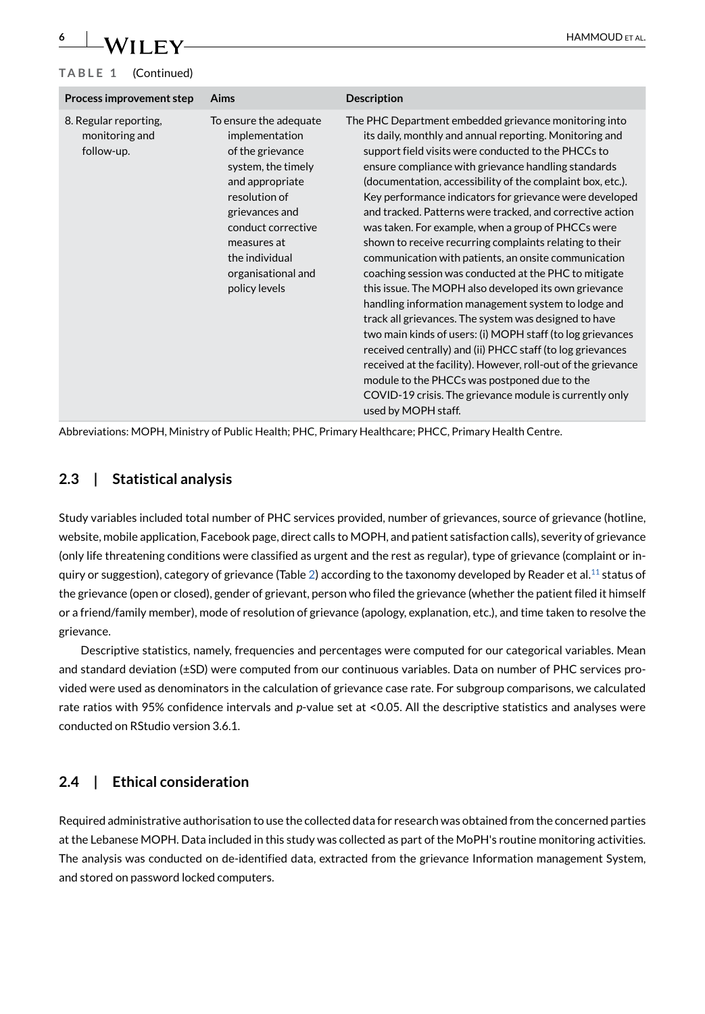# **6 WILEY HAMMOUD** ET AL. **TABLE 1** (Continued)

| Process improvement step                              | <b>Aims</b>                                                                                                                                                                                                                            | <b>Description</b>                                                                                                                                                                                                                                                                                                                                                                                                                                                                                                                                                                                                                                                                                                                                                                                                                                                                                                                                                                                                                                                                                                                                             |
|-------------------------------------------------------|----------------------------------------------------------------------------------------------------------------------------------------------------------------------------------------------------------------------------------------|----------------------------------------------------------------------------------------------------------------------------------------------------------------------------------------------------------------------------------------------------------------------------------------------------------------------------------------------------------------------------------------------------------------------------------------------------------------------------------------------------------------------------------------------------------------------------------------------------------------------------------------------------------------------------------------------------------------------------------------------------------------------------------------------------------------------------------------------------------------------------------------------------------------------------------------------------------------------------------------------------------------------------------------------------------------------------------------------------------------------------------------------------------------|
| 8. Regular reporting,<br>monitoring and<br>follow-up. | To ensure the adequate<br>implementation<br>of the grievance<br>system, the timely<br>and appropriate<br>resolution of<br>grievances and<br>conduct corrective<br>measures at<br>the individual<br>organisational and<br>policy levels | The PHC Department embedded grievance monitoring into<br>its daily, monthly and annual reporting. Monitoring and<br>support field visits were conducted to the PHCCs to<br>ensure compliance with grievance handling standards<br>(documentation, accessibility of the complaint box, etc.).<br>Key performance indicators for grievance were developed<br>and tracked. Patterns were tracked, and corrective action<br>was taken. For example, when a group of PHCCs were<br>shown to receive recurring complaints relating to their<br>communication with patients, an onsite communication<br>coaching session was conducted at the PHC to mitigate<br>this issue. The MOPH also developed its own grievance<br>handling information management system to lodge and<br>track all grievances. The system was designed to have<br>two main kinds of users: (i) MOPH staff (to log grievances<br>received centrally) and (ii) PHCC staff (to log grievances<br>received at the facility). However, roll-out of the grievance<br>module to the PHCCs was postponed due to the<br>COVID-19 crisis. The grievance module is currently only<br>used by MOPH staff. |

Abbreviations: MOPH, Ministry of Public Health; PHC, Primary Healthcare; PHCC, Primary Health Centre.

# **2.3 | Statistical analysis**

Study variables included total number of PHC services provided, number of grievances, source of grievance (hotline, website, mobile application, Facebook page, direct calls to MOPH, and patient satisfaction calls), severity of grievance (only life threatening conditions were classified as urgent and the rest as regular), type of grievance (complaint or in-quiry or suggestion), category of grievance (Table [2\)](#page-7-0) according to the taxonomy developed by Reader et al.<sup>11</sup> status of the grievance (open or closed), gender of grievant, person who filed the grievance (whether the patient filed it himself or a friend/family member), mode of resolution of grievance (apology, explanation, etc.), and time taken to resolve the grievance.

Descriptive statistics, namely, frequencies and percentages were computed for our categorical variables. Mean and standard deviation (±SD) were computed from our continuous variables. Data on number of PHC services provided were used as denominators in the calculation of grievance case rate. For subgroup comparisons, we calculated rate ratios with 95% confidence intervals and *p*-value set at <0.05. All the descriptive statistics and analyses were conducted on RStudio version 3.6.1.

# **2.4 | Ethical consideration**

Required administrative authorisation to use the collected data for research was obtained from the concerned parties at the Lebanese MOPH. Data included in this study was collected as part of the MoPH's routine monitoring activities. The analysis was conducted on de-identified data, extracted from the grievance Information management System, and stored on password locked computers.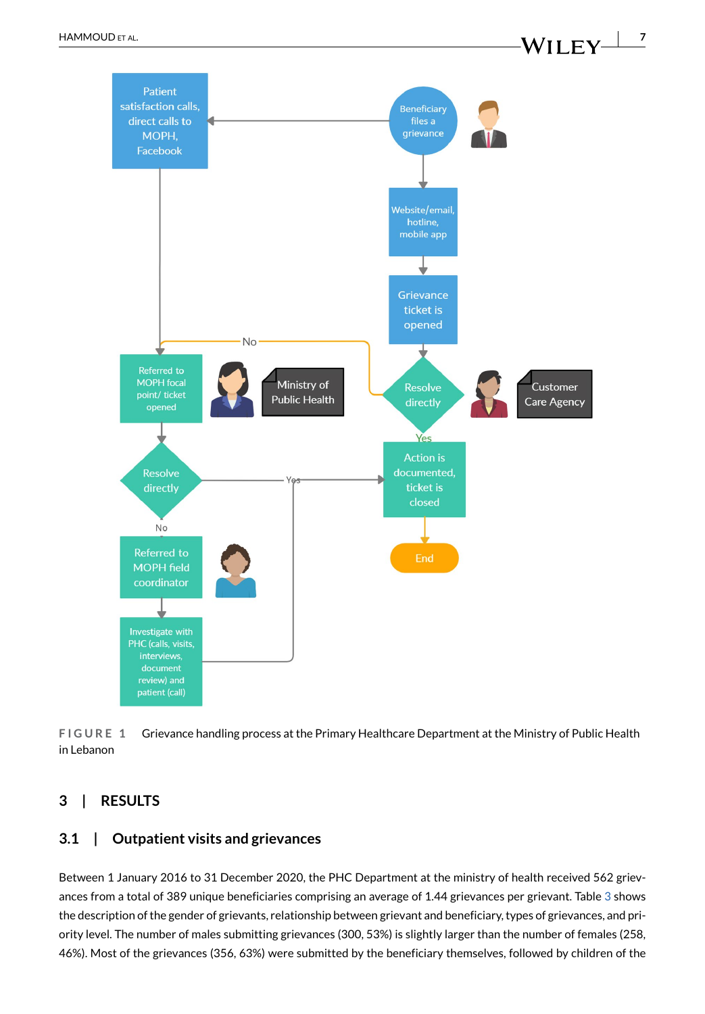

<span id="page-6-0"></span>**FIGURE 1** Grievance handling process at the Primary Healthcare Department at the Ministry of Public Health in Lebanon

# **3 | RESULTS**

# **3.1 | Outpatient visits and grievances**

Between 1 January 2016 to 31 December 2020, the PHC Department at the ministry of health received 562 grievances from a total of 389 unique beneficiaries comprising an average of 1.44 grievances per grievant. Table [3](#page-8-0) shows the description of the gender of grievants, relationship between grievant and beneficiary, types of grievances, and priority level. The number of males submitting grievances (300, 53%) is slightly larger than the number of females (258, 46%). Most of the grievances (356, 63%) were submitted by the beneficiary themselves, followed by children of the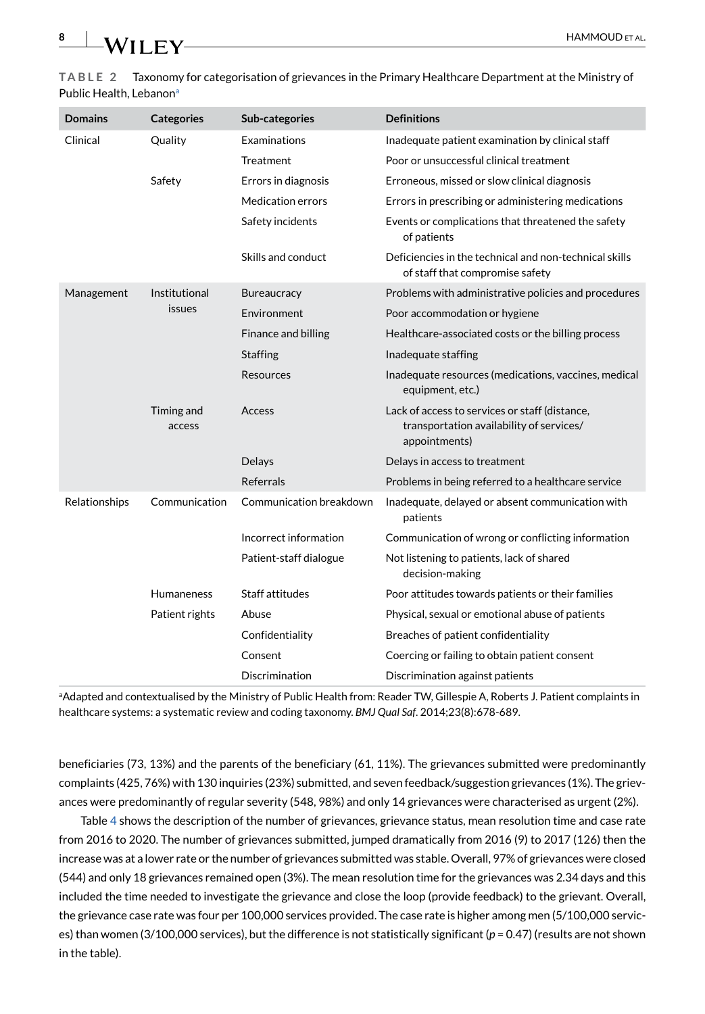#### <span id="page-7-0"></span>**TABLE 2** Taxonomy for categorisation of grievances in the Primary Healthcare Department at the Ministry of Public Health, Lebanon<sup>a</sup>

| <b>Domains</b> | <b>Categories</b>    | Sub-categories          | <b>Definitions</b>                                                                                          |
|----------------|----------------------|-------------------------|-------------------------------------------------------------------------------------------------------------|
| Clinical       | Quality              | <b>Examinations</b>     | Inadequate patient examination by clinical staff                                                            |
|                |                      | Treatment               | Poor or unsuccessful clinical treatment                                                                     |
|                | Safety               | Errors in diagnosis     | Erroneous, missed or slow clinical diagnosis                                                                |
|                |                      | Medication errors       | Errors in prescribing or administering medications                                                          |
|                |                      | Safety incidents        | Events or complications that threatened the safety<br>of patients                                           |
|                |                      | Skills and conduct      | Deficiencies in the technical and non-technical skills<br>of staff that compromise safety                   |
| Management     | Institutional        | <b>Bureaucracy</b>      | Problems with administrative policies and procedures                                                        |
|                | issues               | Environment             | Poor accommodation or hygiene                                                                               |
|                |                      | Finance and billing     | Healthcare-associated costs or the billing process                                                          |
|                |                      | <b>Staffing</b>         | Inadequate staffing                                                                                         |
|                |                      | <b>Resources</b>        | Inadequate resources (medications, vaccines, medical<br>equipment, etc.)                                    |
|                | Timing and<br>access | Access                  | Lack of access to services or staff (distance,<br>transportation availability of services/<br>appointments) |
|                |                      | <b>Delays</b>           | Delays in access to treatment                                                                               |
|                |                      | <b>Referrals</b>        | Problems in being referred to a healthcare service                                                          |
| Relationships  | Communication        | Communication breakdown | Inadequate, delayed or absent communication with<br>patients                                                |
|                |                      | Incorrect information   | Communication of wrong or conflicting information                                                           |
|                |                      | Patient-staff dialogue  | Not listening to patients, lack of shared<br>decision-making                                                |
|                | <b>Humaneness</b>    | Staff attitudes         | Poor attitudes towards patients or their families                                                           |
|                | Patient rights       | Abuse                   | Physical, sexual or emotional abuse of patients                                                             |
|                |                      | Confidentiality         | Breaches of patient confidentiality                                                                         |
|                |                      | Consent                 | Coercing or failing to obtain patient consent                                                               |
|                |                      | Discrimination          | Discrimination against patients                                                                             |

a Adapted and contextualised by the Ministry of Public Health from: Reader TW, Gillespie A, Roberts J. Patient complaints in healthcare systems: a systematic review and coding taxonomy. *BMJ Qual Saf*. 2014;23(8):678-689.

beneficiaries (73, 13%) and the parents of the beneficiary (61, 11%). The grievances submitted were predominantly complaints (425, 76%) with 130 inquiries (23%) submitted, and seven feedback/suggestion grievances (1%). The grievances were predominantly of regular severity (548, 98%) and only 14 grievances were characterised as urgent (2%).

Table [4](#page-8-1) shows the description of the number of grievances, grievance status, mean resolution time and case rate from 2016 to 2020. The number of grievances submitted, jumped dramatically from 2016 (9) to 2017 (126) then the increase was at a lower rate or the number of grievances submitted was stable. Overall, 97% of grievances were closed (544) and only 18 grievances remained open (3%). The mean resolution time for the grievances was 2.34 days and this included the time needed to investigate the grievance and close the loop (provide feedback) to the grievant. Overall, the grievance case rate was four per 100,000 services provided. The case rate is higher among men (5/100,000 services) than women (3/100,000 services), but the difference is not statistically significant (*p* = 0.47) (results are not shown in the table).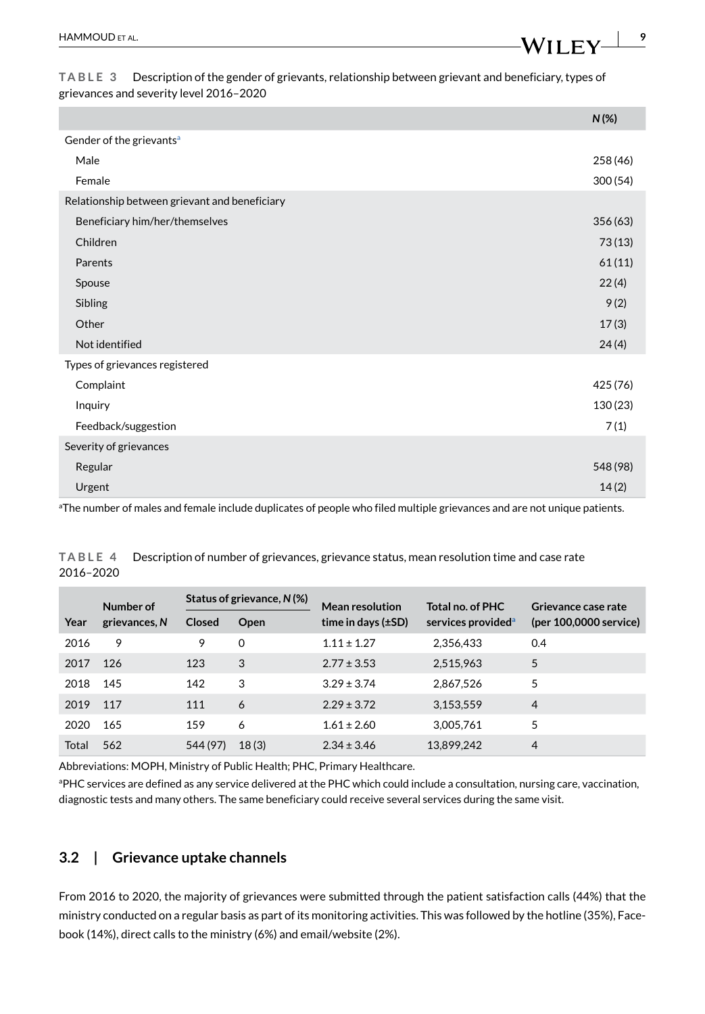<span id="page-8-0"></span>**TABLE 3** Description of the gender of grievants, relationship between grievant and beneficiary, types of grievances and severity level 2016–2020

|                                               | $N(\%)$  |
|-----------------------------------------------|----------|
| Gender of the grievants <sup>a</sup>          |          |
| Male                                          | 258 (46) |
| Female                                        | 300(54)  |
| Relationship between grievant and beneficiary |          |
| Beneficiary him/her/themselves                | 356 (63) |
| Children                                      | 73(13)   |
| Parents                                       | 61(11)   |
| Spouse                                        | 22(4)    |
| Sibling                                       | 9(2)     |
| Other                                         | 17(3)    |
| Not identified                                | 24(4)    |
| Types of grievances registered                |          |
| Complaint                                     | 425 (76) |
| Inquiry                                       | 130 (23) |
| Feedback/suggestion                           | 7(1)     |
| Severity of grievances                        |          |
| Regular                                       | 548 (98) |
| Urgent                                        | 14(2)    |
|                                               |          |

a The number of males and female include duplicates of people who filed multiple grievances and are not unique patients.

| Number of | Status of grievance, N(%) |               | <b>Mean resolution</b> | Total no. of PHC        | Grievance case rate            |                        |
|-----------|---------------------------|---------------|------------------------|-------------------------|--------------------------------|------------------------|
| Year      | grievances, N             | <b>Closed</b> | Open                   | time in days $(\pm SD)$ | services provided <sup>a</sup> | (per 100,0000 service) |
| 2016      | 9                         | 9             | 0                      | $1.11 \pm 1.27$         | 2,356,433                      | 0.4                    |
| 2017      | 126                       | 123           | 3                      | $2.77 \pm 3.53$         | 2,515,963                      | 5                      |
| 2018      | 145                       | 142           | 3                      | $3.29 \pm 3.74$         | 2.867.526                      | 5                      |
| 2019      | 117                       | 111           | 6                      | $2.29 \pm 3.72$         | 3,153,559                      | $\overline{4}$         |
| 2020      | 165                       | 159           | 6                      | $1.61 \pm 2.60$         | 3,005,761                      | 5                      |
| Total     | 562                       | 544 (97)      | 18(3)                  | $2.34 \pm 3.46$         | 13,899,242                     | 4                      |

<span id="page-8-1"></span>**TABLE 4** Description of number of grievances, grievance status, mean resolution time and case rate 2016–2020

Abbreviations: MOPH, Ministry of Public Health; PHC, Primary Healthcare.

a PHC services are defined as any service delivered at the PHC which could include a consultation, nursing care, vaccination, diagnostic tests and many others. The same beneficiary could receive several services during the same visit.

# **3.2 | Grievance uptake channels**

From 2016 to 2020, the majority of grievances were submitted through the patient satisfaction calls (44%) that the ministry conducted on a regular basis as part of its monitoring activities. This was followed by the hotline (35%), Facebook (14%), direct calls to the ministry (6%) and email/website (2%).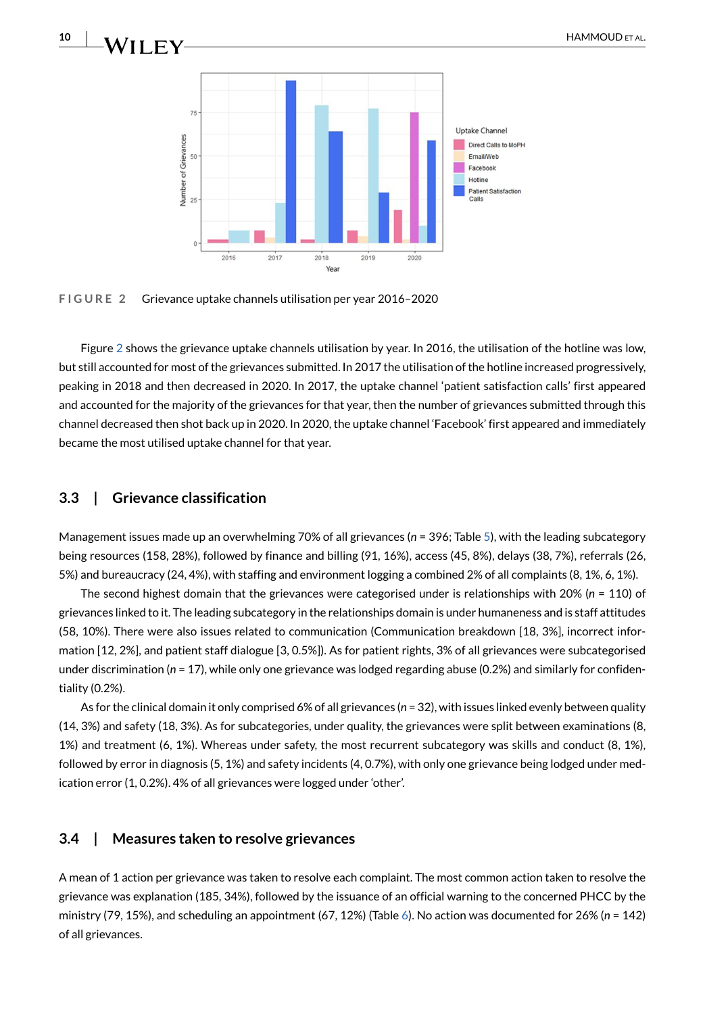



<span id="page-9-0"></span>**FIGURE 2** Grievance uptake channels utilisation per year 2016–2020

Figure [2](#page-9-0) shows the grievance uptake channels utilisation by year. In 2016, the utilisation of the hotline was low, but still accounted for most of the grievances submitted. In 2017 the utilisation of the hotline increased progressively, peaking in 2018 and then decreased in 2020. In 2017, the uptake channel 'patient satisfaction calls' first appeared and accounted for the majority of the grievances for that year, then the number of grievances submitted through this channel decreased then shot back up in 2020. In 2020, the uptake channel 'Facebook' first appeared and immediately became the most utilised uptake channel for that year.

#### **3.3 | Grievance classification**

Management issues made up an overwhelming 70% of all grievances (*n* = 396; Table [5](#page-10-0)), with the leading subcategory being resources (158, 28%), followed by finance and billing (91, 16%), access (45, 8%), delays (38, 7%), referrals (26, 5%) and bureaucracy (24, 4%), with staffing and environment logging a combined 2% of all complaints (8, 1%, 6, 1%).

The second highest domain that the grievances were categorised under is relationships with 20% (*n* = 110) of grievances linked to it. The leading subcategory in the relationships domain is under humaneness and is staff attitudes (58, 10%). There were also issues related to communication (Communication breakdown [18, 3%], incorrect information [12, 2%], and patient staff dialogue [3, 0.5%]). As for patient rights, 3% of all grievances were subcategorised under discrimination (*n* = 17), while only one grievance was lodged regarding abuse (0.2%) and similarly for confidentiality (0.2%).

As for the clinical domain it only comprised 6% of all grievances (*n* = 32), with issues linked evenly between quality (14, 3%) and safety (18, 3%). As for subcategories, under quality, the grievances were split between examinations (8, 1%) and treatment (6, 1%). Whereas under safety, the most recurrent subcategory was skills and conduct (8, 1%), followed by error in diagnosis (5, 1%) and safety incidents (4, 0.7%), with only one grievance being lodged under medication error (1, 0.2%). 4% of all grievances were logged under 'other'.

#### **3.4 | Measures taken to resolve grievances**

A mean of 1 action per grievance was taken to resolve each complaint. The most common action taken to resolve the grievance was explanation (185, 34%), followed by the issuance of an official warning to the concerned PHCC by the ministry (79, 15%), and scheduling an appointment (67, 12%) (Table [6\)](#page-11-0). No action was documented for 26% (*n* = 142) of all grievances.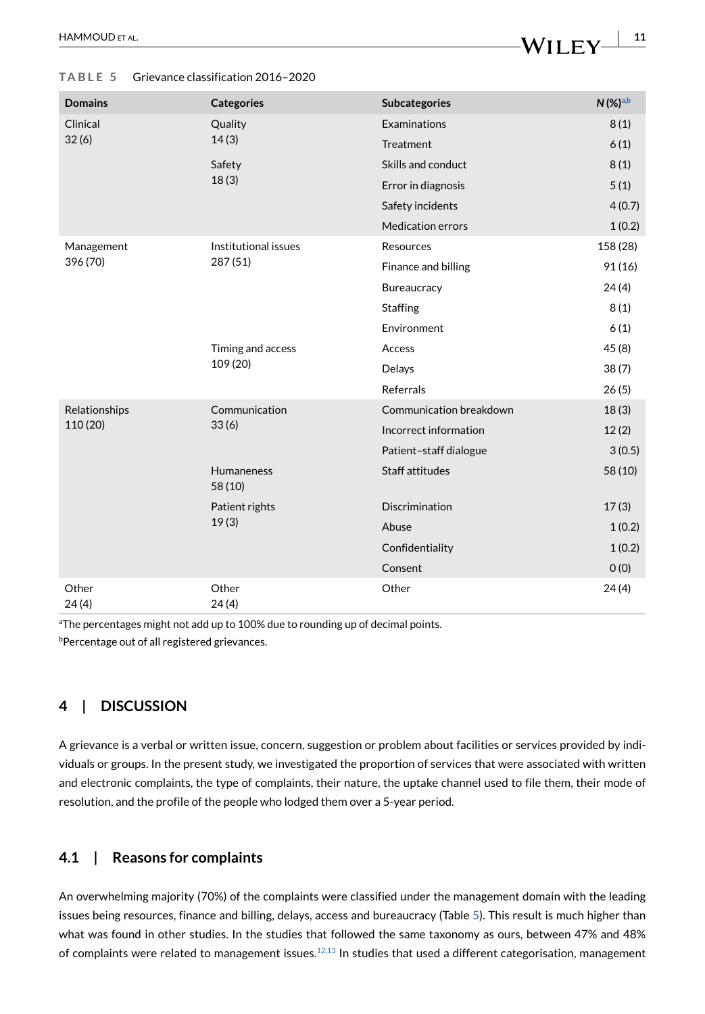#### <span id="page-10-0"></span>**TABLE 5** Grievance classification 2016–2020

| <b>Domains</b> | <b>Categories</b>                                                                                                                                                                                                                                                                      | <b>Subcategories</b>     | $N$ (%) <sup>a,b</sup> |
|----------------|----------------------------------------------------------------------------------------------------------------------------------------------------------------------------------------------------------------------------------------------------------------------------------------|--------------------------|------------------------|
| Clinical       | Quality                                                                                                                                                                                                                                                                                | Examinations             | 8(1)                   |
| 32(6)          |                                                                                                                                                                                                                                                                                        | Treatment                | 6(1)                   |
|                | Safety<br>18(3)                                                                                                                                                                                                                                                                        | Skills and conduct       | 8(1)                   |
|                |                                                                                                                                                                                                                                                                                        | Error in diagnosis       | 5(1)                   |
|                |                                                                                                                                                                                                                                                                                        | Safety incidents         | 4(0.7)                 |
|                |                                                                                                                                                                                                                                                                                        | <b>Medication errors</b> | 1(0.2)                 |
| Management     | Institutional issues<br>287 (51)                                                                                                                                                                                                                                                       | Resources                | 158 (28)               |
| 396 (70)       |                                                                                                                                                                                                                                                                                        | Finance and billing      | 91 (16)                |
|                |                                                                                                                                                                                                                                                                                        | Bureaucracy              | 24(4)                  |
|                |                                                                                                                                                                                                                                                                                        | <b>Staffing</b>          | 8(1)                   |
|                |                                                                                                                                                                                                                                                                                        | Environment              | 6(1)                   |
|                | Timing and access<br>109 (20)                                                                                                                                                                                                                                                          | Access                   | 45(8)                  |
|                |                                                                                                                                                                                                                                                                                        | Delays                   | 38(7)                  |
|                |                                                                                                                                                                                                                                                                                        | <b>Referrals</b>         | 26(5)                  |
| Relationships  | 14(3)<br>Communication<br>Communication breakdown<br>33(6)<br>Incorrect information<br>Patient-staff dialogue<br>Staff attitudes<br><b>Humaneness</b><br>58 (10)<br><b>Discrimination</b><br>Patient rights<br>19(3)<br>Abuse<br>Confidentiality<br>Consent<br>Other<br>Other<br>24(4) |                          | 18(3)                  |
| 110 (20)       |                                                                                                                                                                                                                                                                                        | 12(2)                    |                        |
|                |                                                                                                                                                                                                                                                                                        | 3(0.5)                   |                        |
|                |                                                                                                                                                                                                                                                                                        |                          | 58 (10)                |
|                |                                                                                                                                                                                                                                                                                        |                          | 17(3)                  |
|                |                                                                                                                                                                                                                                                                                        |                          | 1(0.2)                 |
|                |                                                                                                                                                                                                                                                                                        |                          | 1(0.2)                 |
|                |                                                                                                                                                                                                                                                                                        |                          | O(0)                   |
| Other<br>24(4) |                                                                                                                                                                                                                                                                                        |                          | 24(4)                  |

<sup>a</sup>The percentages might not add up to 100% due to rounding up of decimal points.

**bPercentage out of all registered grievances.** 

# **4 | DISCUSSION**

A grievance is a verbal or written issue, concern, suggestion or problem about facilities or services provided by individuals or groups. In the present study, we investigated the proportion of services that were associated with written and electronic complaints, the type of complaints, their nature, the uptake channel used to file them, their mode of resolution, and the profile of the people who lodged them over a 5-year period.

# **4.1 | Reasons for complaints**

An overwhelming majority (70%) of the complaints were classified under the management domain with the leading issues being resources, finance and billing, delays, access and bureaucracy (Table [5\)](#page-10-0). This result is much higher than what was found in other studies. In the studies that followed the same taxonomy as ours, between 47% and 48% of complaints were related to management issues.<sup>[12,](#page-14-11)[13](#page-14-12)</sup> In studies that used a different categorisation, management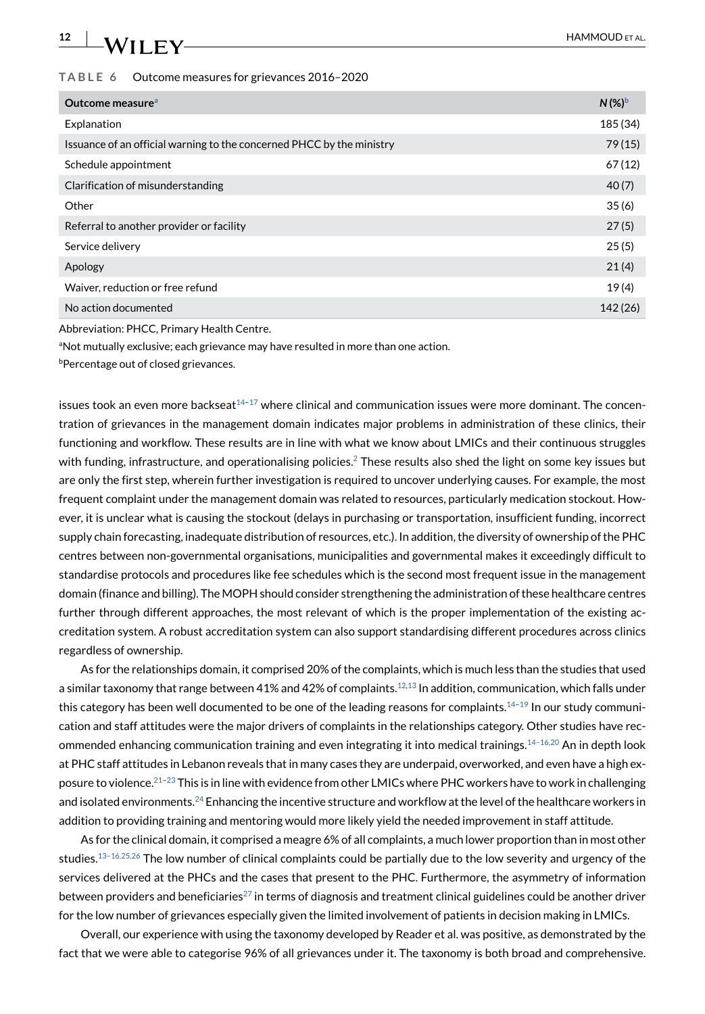#### <span id="page-11-0"></span>**TABLE 6** Outcome measures for grievances 2016–2020

| Outcome measure <sup>a</sup>                                          | $N$ (%) <sup>b</sup> |
|-----------------------------------------------------------------------|----------------------|
| Explanation                                                           | 185 (34)             |
| Issuance of an official warning to the concerned PHCC by the ministry | 79(15)               |
| Schedule appointment                                                  | 67(12)               |
| Clarification of misunderstanding                                     | 40(7)                |
| Other                                                                 | 35(6)                |
| Referral to another provider or facility                              | 27(5)                |
| Service delivery                                                      | 25(5)                |
| Apology                                                               | 21(4)                |
| Waiver, reduction or free refund                                      | 19(4)                |
| No action documented                                                  | 142 (26)             |

Abbreviation: PHCC, Primary Health Centre.

<sup>a</sup>Not mutually exclusive; each grievance may have resulted in more than one action.

**b**Percentage out of closed grievances.

issues took an even more backseat<sup>14-17</sup> where clinical and communication issues were more dominant. The concentration of grievances in the management domain indicates major problems in administration of these clinics, their functioning and workflow. These results are in line with what we know about LMICs and their continuous struggles with funding, infrastructure, and operationalising policies.<sup>2</sup> These results also shed the light on some key issues but are only the first step, wherein further investigation is required to uncover underlying causes. For example, the most frequent complaint under the management domain was related to resources, particularly medication stockout. However, it is unclear what is causing the stockout (delays in purchasing or transportation, insufficient funding, incorrect supply chain forecasting, inadequate distribution of resources, etc.). In addition, the diversity of ownership of the PHC centres between non-governmental organisations, municipalities and governmental makes it exceedingly difficult to standardise protocols and procedures like fee schedules which is the second most frequent issue in the management domain (finance and billing). The MOPH should consider strengthening the administration of these healthcare centres further through different approaches, the most relevant of which is the proper implementation of the existing accreditation system. A robust accreditation system can also support standardising different procedures across clinics regardless of ownership.

As for the relationships domain, it comprised 20% of the complaints, which is much less than the studies that used a similar taxonomy that range between 41% and 42% of complaints.<sup>12[,13](#page-14-12)</sup> In addition, communication, which falls under this category has been well documented to be one of the leading reasons for complaints.<sup>14-19</sup> In our study communication and staff attitudes were the major drivers of complaints in the relationships category. Other studies have recommended enhancing communication training and even integrating it into medical trainings[.14–16,20](#page-14-13) An in depth look at PHC staff attitudes in Lebanon reveals that in many cases they are underpaid, overworked, and even have a high exposure to violence.<sup>21-23</sup> This is in line with evidence from other LMICs where PHC workers have to work in challenging and isolated environments.<sup>24</sup> Enhancing the incentive structure and workflow at the level of the healthcare workers in addition to providing training and mentoring would more likely yield the needed improvement in staff attitude.

As for the clinical domain, it comprised a meagre 6% of all complaints, a much lower proportion than in most other studies.<sup>13–16,25,26</sup> The low number of clinical complaints could be partially due to the low severity and urgency of the services delivered at the PHCs and the cases that present to the PHC. Furthermore, the asymmetry of information between providers and beneficiaries<sup>27</sup> in terms of diagnosis and treatment clinical guidelines could be another driver for the low number of grievances especially given the limited involvement of patients in decision making in LMICs.

Overall, our experience with using the taxonomy developed by Reader et al. was positive, as demonstrated by the fact that we were able to categorise 96% of all grievances under it. The taxonomy is both broad and comprehensive.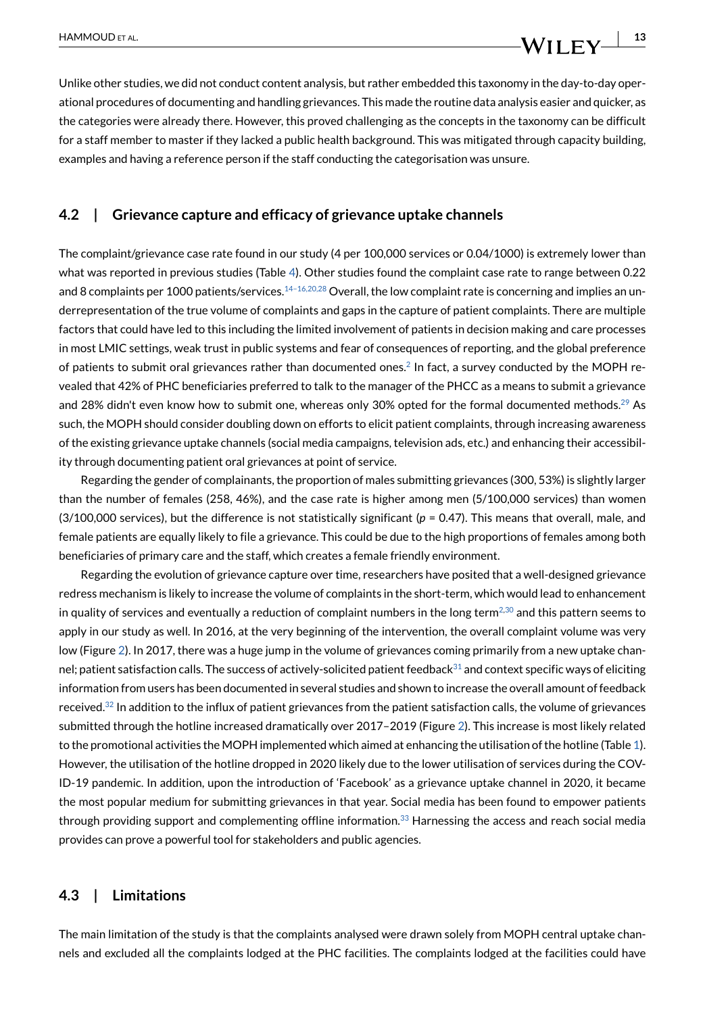$\frac{HAMMOUD ETAL}{I}$ 

Unlike other studies, we did not conduct content analysis, but rather embedded this taxonomy in the day-to-day operational procedures of documenting and handling grievances. This made the routine data analysis easier and quicker, as the categories were already there. However, this proved challenging as the concepts in the taxonomy can be difficult for a staff member to master if they lacked a public health background. This was mitigated through capacity building, examples and having a reference person if the staff conducting the categorisation was unsure.

#### **4.2 | Grievance capture and efficacy of grievance uptake channels**

The complaint/grievance case rate found in our study (4 per 100,000 services or 0.04/1000) is extremely lower than what was reported in previous studies (Table [4](#page-8-1)). Other studies found the complaint case rate to range between 0.22 and 8 complaints per 1000 patients/services.<sup>14-16,20,28</sup> Overall, the low complaint rate is concerning and implies an underrepresentation of the true volume of complaints and gaps in the capture of patient complaints. There are multiple factors that could have led to this including the limited involvement of patients in decision making and care processes in most LMIC settings, weak trust in public systems and fear of consequences of reporting, and the global preference of patients to submit oral grievances rather than documented ones.<sup>2</sup> In fact, a survey conducted by the MOPH revealed that 42% of PHC beneficiaries preferred to talk to the manager of the PHCC as a means to submit a grievance and 28% didn't even know how to submit one, whereas only 30% opted for the formal documented methods.<sup>[29](#page-15-5)</sup> As such, the MOPH should consider doubling down on efforts to elicit patient complaints, through increasing awareness of the existing grievance uptake channels (social media campaigns, television ads, etc.) and enhancing their accessibility through documenting patient oral grievances at point of service.

Regarding the gender of complainants, the proportion of males submitting grievances (300, 53%) is slightly larger than the number of females (258, 46%), and the case rate is higher among men (5/100,000 services) than women (3/100,000 services), but the difference is not statistically significant (*p* = 0.47). This means that overall, male, and female patients are equally likely to file a grievance. This could be due to the high proportions of females among both beneficiaries of primary care and the staff, which creates a female friendly environment.

Regarding the evolution of grievance capture over time, researchers have posited that a well-designed grievance redress mechanism is likely to increase the volume of complaints in the short-term, which would lead to enhancement in quality of services and eventually a reduction of complaint numbers in the long term $^{2,30}$  $^{2,30}$  $^{2,30}$  and this pattern seems to apply in our study as well. In 2016, at the very beginning of the intervention, the overall complaint volume was very low (Figure [2\)](#page-9-0). In 2017, there was a huge jump in the volume of grievances coming primarily from a new uptake channel; patient satisfaction calls. The success of actively-solicited patient feedback $31$  and context specific ways of eliciting information from users has been documented in several studies and shown to increase the overall amount of feedback received.<sup>32</sup> In addition to the influx of patient grievances from the patient satisfaction calls, the volume of grievances submitted through the hotline increased dramatically over 2017–2019 (Figure [2](#page-9-0)). This increase is most likely related to the promotional activities the MOPH implemented which aimed at enhancing the utilisation of the hotline (Table [1](#page-3-0)). However, the utilisation of the hotline dropped in 2020 likely due to the lower utilisation of services during the COV-ID-19 pandemic. In addition, upon the introduction of 'Facebook' as a grievance uptake channel in 2020, it became the most popular medium for submitting grievances in that year. Social media has been found to empower patients through providing support and complementing offline information.<sup>33</sup> Harnessing the access and reach social media provides can prove a powerful tool for stakeholders and public agencies.

#### **4.3 | Limitations**

The main limitation of the study is that the complaints analysed were drawn solely from MOPH central uptake channels and excluded all the complaints lodged at the PHC facilities. The complaints lodged at the facilities could have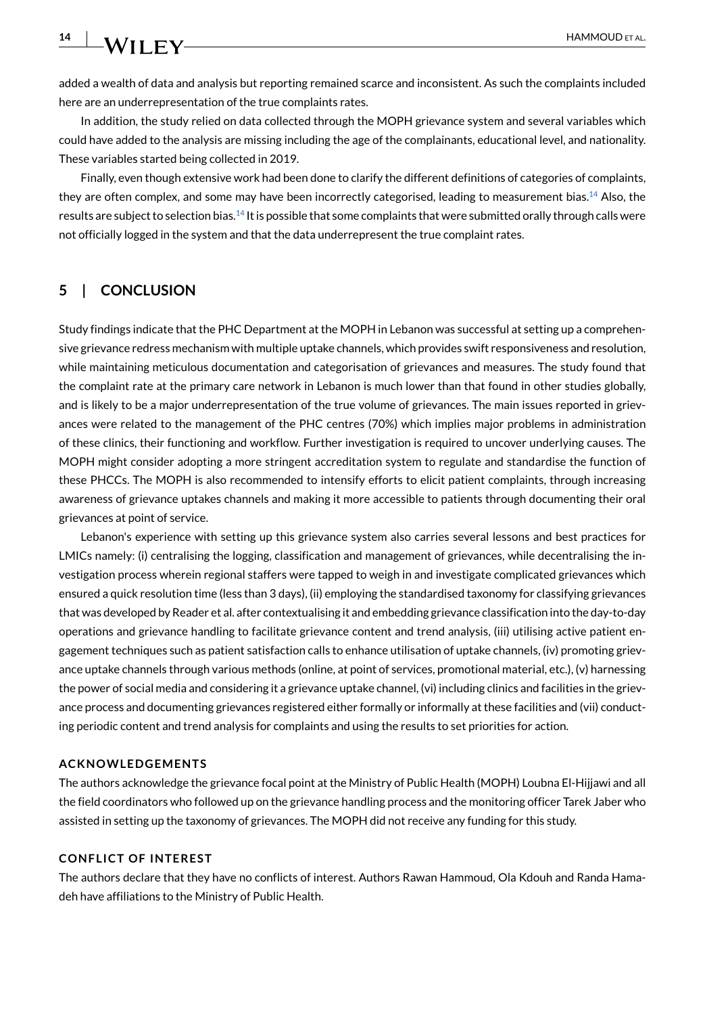**14 WII FY** HAMMOUD ET AL.

added a wealth of data and analysis but reporting remained scarce and inconsistent. As such the complaints included here are an underrepresentation of the true complaints rates.

In addition, the study relied on data collected through the MOPH grievance system and several variables which could have added to the analysis are missing including the age of the complainants, educational level, and nationality. These variables started being collected in 2019.

Finally, even though extensive work had been done to clarify the different definitions of categories of complaints, they are often complex, and some may have been incorrectly categorised, leading to measurement bias.<sup>14</sup> Also, the results are subject to selection bias[.14](#page-14-13) It is possible that some complaints that were submitted orally through calls were not officially logged in the system and that the data underrepresent the true complaint rates.

### **5 | CONCLUSION**

Study findings indicate that the PHC Department at the MOPH in Lebanon was successful at setting up a comprehensive grievance redress mechanism with multiple uptake channels, which provides swift responsiveness and resolution, while maintaining meticulous documentation and categorisation of grievances and measures. The study found that the complaint rate at the primary care network in Lebanon is much lower than that found in other studies globally, and is likely to be a major underrepresentation of the true volume of grievances. The main issues reported in grievances were related to the management of the PHC centres (70%) which implies major problems in administration of these clinics, their functioning and workflow. Further investigation is required to uncover underlying causes. The MOPH might consider adopting a more stringent accreditation system to regulate and standardise the function of these PHCCs. The MOPH is also recommended to intensify efforts to elicit patient complaints, through increasing awareness of grievance uptakes channels and making it more accessible to patients through documenting their oral grievances at point of service.

Lebanon's experience with setting up this grievance system also carries several lessons and best practices for LMICs namely: (i) centralising the logging, classification and management of grievances, while decentralising the investigation process wherein regional staffers were tapped to weigh in and investigate complicated grievances which ensured a quick resolution time (less than 3 days), (ii) employing the standardised taxonomy for classifying grievances that was developed by Reader et al. after contextualising it and embedding grievance classification into the day-to-day operations and grievance handling to facilitate grievance content and trend analysis, (iii) utilising active patient engagement techniques such as patient satisfaction calls to enhance utilisation of uptake channels, (iv) promoting grievance uptake channels through various methods (online, at point of services, promotional material, etc.), (v) harnessing the power of social media and considering it a grievance uptake channel, (vi) including clinics and facilities in the grievance process and documenting grievances registered either formally or informally at these facilities and (vii) conducting periodic content and trend analysis for complaints and using the results to set priorities for action.

#### **ACKNOWLEDGEMENTS**

The authors acknowledge the grievance focal point at the Ministry of Public Health (MOPH) Loubna El-Hijjawi and all the field coordinators who followed up on the grievance handling process and the monitoring officer Tarek Jaber who assisted in setting up the taxonomy of grievances. The MOPH did not receive any funding for this study.

#### **CONFLICT OF INTEREST**

The authors declare that they have no conflicts of interest. Authors Rawan Hammoud, Ola Kdouh and Randa Hamadeh have affiliations to the Ministry of Public Health.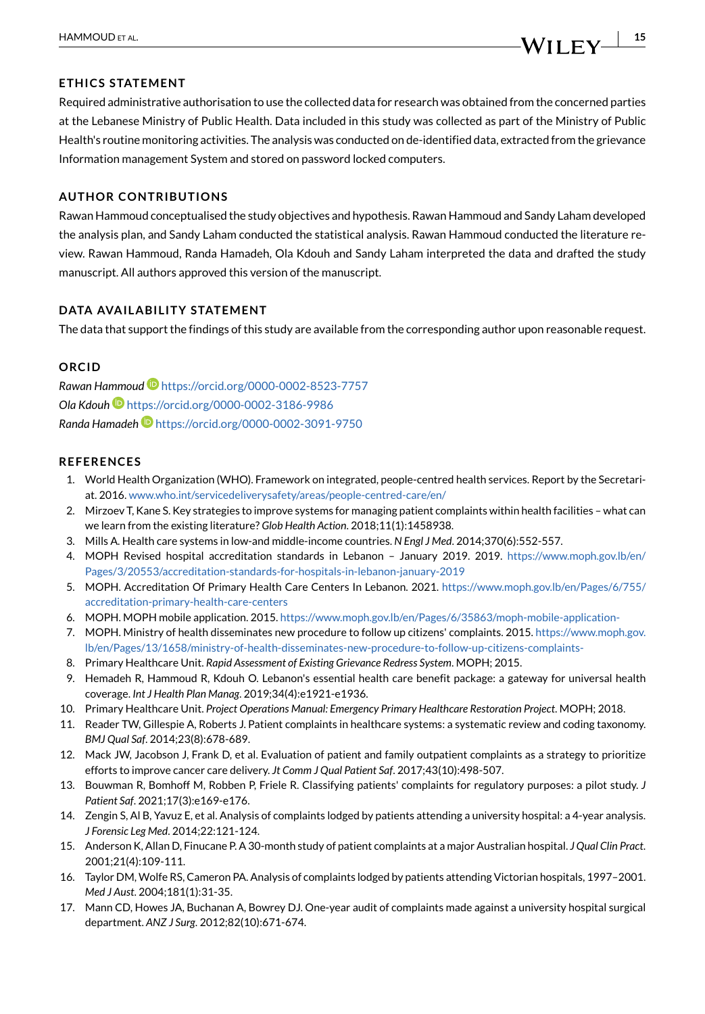#### **ETHICS STATEMENT**

Required administrative authorisation to use the collected data for research was obtained from the concerned parties at the Lebanese Ministry of Public Health. Data included in this study was collected as part of the Ministry of Public Health's routine monitoring activities. The analysis was conducted on de-identified data, extracted from the grievance Information management System and stored on password locked computers.

#### **AUTHOR CONTRIBUTIONS**

Rawan Hammoud conceptualised the study objectives and hypothesis. Rawan Hammoud and Sandy Laham developed the analysis plan, and Sandy Laham conducted the statistical analysis. Rawan Hammoud conducted the literature review. Rawan Hammoud, Randa Hamadeh, Ola Kdouh and Sandy Laham interpreted the data and drafted the study manuscript. All authors approved this version of the manuscript.

# **DATA AVAILABILITY STATEMENT**

The data that support the findings of this study are available from the corresponding author upon reasonable request.

#### **ORCID**

*Rawan Hammoud* <https://orcid.org/0000-0002-8523-7757> *Ola Kdouh* <https://orcid.org/0000-0002-3186-9986> *Randa Hamadeh* <https://orcid.org/0000-0002-3091-9750>

#### **REFERENCES**

- <span id="page-14-0"></span>1. World Health Organization (WHO). Framework on integrated, people-centred health services. Report by the Secretariat. 2016. [www.who.int/servicedeliverysafety/areas/people-centred-care/en/](http://www.who.int/servicedeliverysafety/areas/people%2Dcentred%2Dcare/en/)
- <span id="page-14-1"></span>2. Mirzoev T, Kane S. Key strategies to improve systems for managing patient complaints within health facilities – what can we learn from the existing literature? *Glob Health Action*. 2018;11(1):1458938.
- <span id="page-14-2"></span>3. Mills A. Health care systems in low-and middle-income countries. *N Engl J Med*. 2014;370(6):552-557.
- <span id="page-14-3"></span>4. MOPH Revised hospital accreditation standards in Lebanon – January 2019. 2019. [https://www.moph.gov.lb/en/](https://www.moph.gov.lb/en/Pages/3/20553/accreditation-standards-for-hospitals-in-lebanon-january-2019) [Pages/3/20553/accreditation-standards-for-hospitals-in-lebanon-january-2019](https://www.moph.gov.lb/en/Pages/3/20553/accreditation-standards-for-hospitals-in-lebanon-january-2019)
- <span id="page-14-4"></span>5. MOPH. Accreditation Of Primary Health Care Centers In Lebanon. 2021. [https://www.moph.gov.lb/en/Pages/6/755/](https://www.moph.gov.lb/en/Pages/6/755/accreditation-primary-health-care-centers) [accreditation-primary-health-care-centers](https://www.moph.gov.lb/en/Pages/6/755/accreditation-primary-health-care-centers)
- <span id="page-14-5"></span>6. MOPH. MOPH mobile application. 2015. <https://www.moph.gov.lb/en/Pages/6/35863/moph-mobile-application->
- <span id="page-14-6"></span>7. MOPH. Ministry of health disseminates new procedure to follow up citizens' complaints. 2015. [https://www.moph.gov.](https://www.moph.gov.lb/en/Pages/13/1658/ministry%2Dof%2Dhealth%2Ddisseminates%2Dnew%2Dprocedure%2Dto%2Dfollow%2Dup%2Dcitizens%2Dcomplaints%2D) [lb/en/Pages/13/1658/ministry-of-health-disseminates-new-procedure-to-follow-up-citizens-complaints-](https://www.moph.gov.lb/en/Pages/13/1658/ministry%2Dof%2Dhealth%2Ddisseminates%2Dnew%2Dprocedure%2Dto%2Dfollow%2Dup%2Dcitizens%2Dcomplaints%2D)
- <span id="page-14-7"></span>8. Primary Healthcare Unit. *Rapid Assessment of Existing Grievance Redress System*. MOPH; 2015.
- <span id="page-14-8"></span>9. Hemadeh R, Hammoud R, Kdouh O. Lebanon's essential health care benefit package: a gateway for universal health coverage. *Int J Health Plan Manag*. 2019;34(4):e1921-e1936.
- <span id="page-14-9"></span>10. Primary Healthcare Unit. *Project Operations Manual: Emergency Primary Healthcare Restoration Project*. MOPH; 2018.
- <span id="page-14-10"></span>11. Reader TW, Gillespie A, Roberts J. Patient complaints in healthcare systems: a systematic review and coding taxonomy. *BMJ Qual Saf*. 2014;23(8):678-689.
- <span id="page-14-11"></span>12. Mack JW, Jacobson J, Frank D, et al. Evaluation of patient and family outpatient complaints as a strategy to prioritize efforts to improve cancer care delivery. *Jt Comm J Qual Patient Saf*. 2017;43(10):498-507.
- <span id="page-14-12"></span>13. Bouwman R, Bomhoff M, Robben P, Friele R. Classifying patients' complaints for regulatory purposes: a pilot study. *J Patient Saf*. 2021;17(3):e169-e176.
- <span id="page-14-13"></span>14. Zengin S, Al B, Yavuz E, et al. Analysis of complaints lodged by patients attending a university hospital: a 4-year analysis. *J Forensic Leg Med*. 2014;22:121-124.
- 15. Anderson K, Allan D, Finucane P. A 30-month study of patient complaints at a major Australian hospital. *J Qual Clin Pract*. 2001;21(4):109-111.
- 16. Taylor DM, Wolfe RS, Cameron PA. Analysis of complaints lodged by patients attending Victorian hospitals, 1997–2001. *Med J Aust*. 2004;181(1):31-35.
- <span id="page-14-14"></span>17. Mann CD, Howes JA, Buchanan A, Bowrey DJ. One-year audit of complaints made against a university hospital surgical department. *ANZ J Surg*. 2012;82(10):671-674.